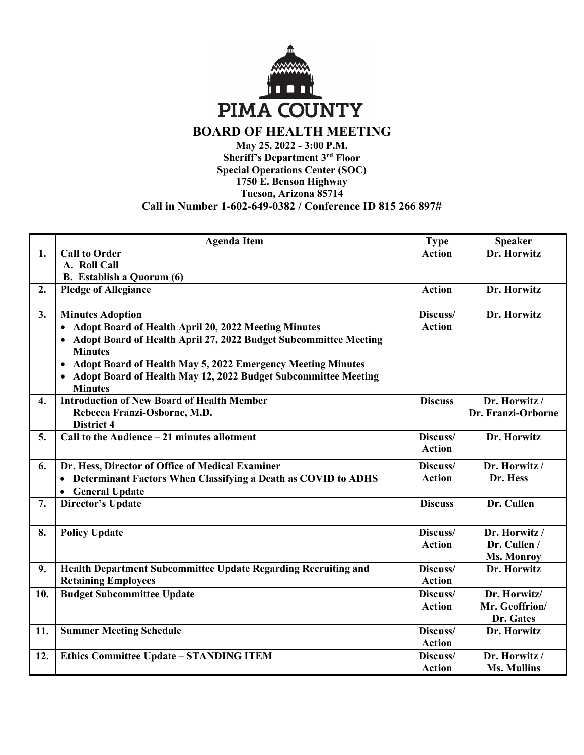

## **BOARD OF HEALTH MEETING May 25, 2022 - 3:00 P.M.**

**Sheriff's Department 3rd Floor Special Operations Center (SOC) 1750 E. Benson Highway Tucson, Arizona 85714** 

| Call in Number 1-602-649-0382 / Conference ID 815 266 897# |  |
|------------------------------------------------------------|--|
|                                                            |  |

|     | <b>Agenda Item</b>                                                                              | <b>Type</b>    | <b>Speaker</b>     |
|-----|-------------------------------------------------------------------------------------------------|----------------|--------------------|
| 1.  | <b>Call to Order</b>                                                                            | <b>Action</b>  | Dr. Horwitz        |
|     | A. Roll Call                                                                                    |                |                    |
|     | <b>B.</b> Establish a Quorum (6)                                                                |                |                    |
| 2.  | <b>Pledge of Allegiance</b>                                                                     | <b>Action</b>  | Dr. Horwitz        |
| 3.  | <b>Minutes Adoption</b>                                                                         | Discuss/       | Dr. Horwitz        |
|     | <b>Adopt Board of Health April 20, 2022 Meeting Minutes</b><br>$\bullet$                        | <b>Action</b>  |                    |
|     | Adopt Board of Health April 27, 2022 Budget Subcommittee Meeting<br>$\bullet$<br><b>Minutes</b> |                |                    |
|     | Adopt Board of Health May 5, 2022 Emergency Meeting Minutes<br>$\bullet$                        |                |                    |
|     | Adopt Board of Health May 12, 2022 Budget Subcommittee Meeting<br><b>Minutes</b>                |                |                    |
| 4.  | <b>Introduction of New Board of Health Member</b>                                               | <b>Discuss</b> | Dr. Horwitz /      |
|     | Rebecca Franzi-Osborne, M.D.                                                                    |                | Dr. Franzi-Orborne |
|     | District 4                                                                                      |                |                    |
| 5.  | Call to the Audience - 21 minutes allotment                                                     | Discuss/       | Dr. Horwitz        |
|     |                                                                                                 | <b>Action</b>  |                    |
| 6.  | Dr. Hess, Director of Office of Medical Examiner                                                | Discuss/       | Dr. Horwitz /      |
|     | Determinant Factors When Classifying a Death as COVID to ADHS                                   | <b>Action</b>  | Dr. Hess           |
|     | <b>General Update</b><br>$\bullet$                                                              |                |                    |
| 7.  | <b>Director's Update</b>                                                                        | <b>Discuss</b> | Dr. Cullen         |
|     |                                                                                                 |                |                    |
| 8.  | <b>Policy Update</b>                                                                            | Discuss/       | Dr. Horwitz /      |
|     |                                                                                                 | <b>Action</b>  | Dr. Cullen /       |
|     |                                                                                                 |                | <b>Ms. Monroy</b>  |
| 9.  | <b>Health Department Subcommittee Update Regarding Recruiting and</b>                           | Discuss/       | Dr. Horwitz        |
|     | <b>Retaining Employees</b>                                                                      | <b>Action</b>  |                    |
| 10. | <b>Budget Subcommittee Update</b>                                                               | Discuss/       | Dr. Horwitz/       |
|     |                                                                                                 | <b>Action</b>  | Mr. Geoffrion/     |
|     |                                                                                                 |                | Dr. Gates          |
| 11. | <b>Summer Meeting Schedule</b>                                                                  | Discuss/       | Dr. Horwitz        |
|     |                                                                                                 | <b>Action</b>  |                    |
| 12. | <b>Ethics Committee Update - STANDING ITEM</b>                                                  | Discuss/       | Dr. Horwitz /      |
|     |                                                                                                 | <b>Action</b>  | <b>Ms. Mullins</b> |